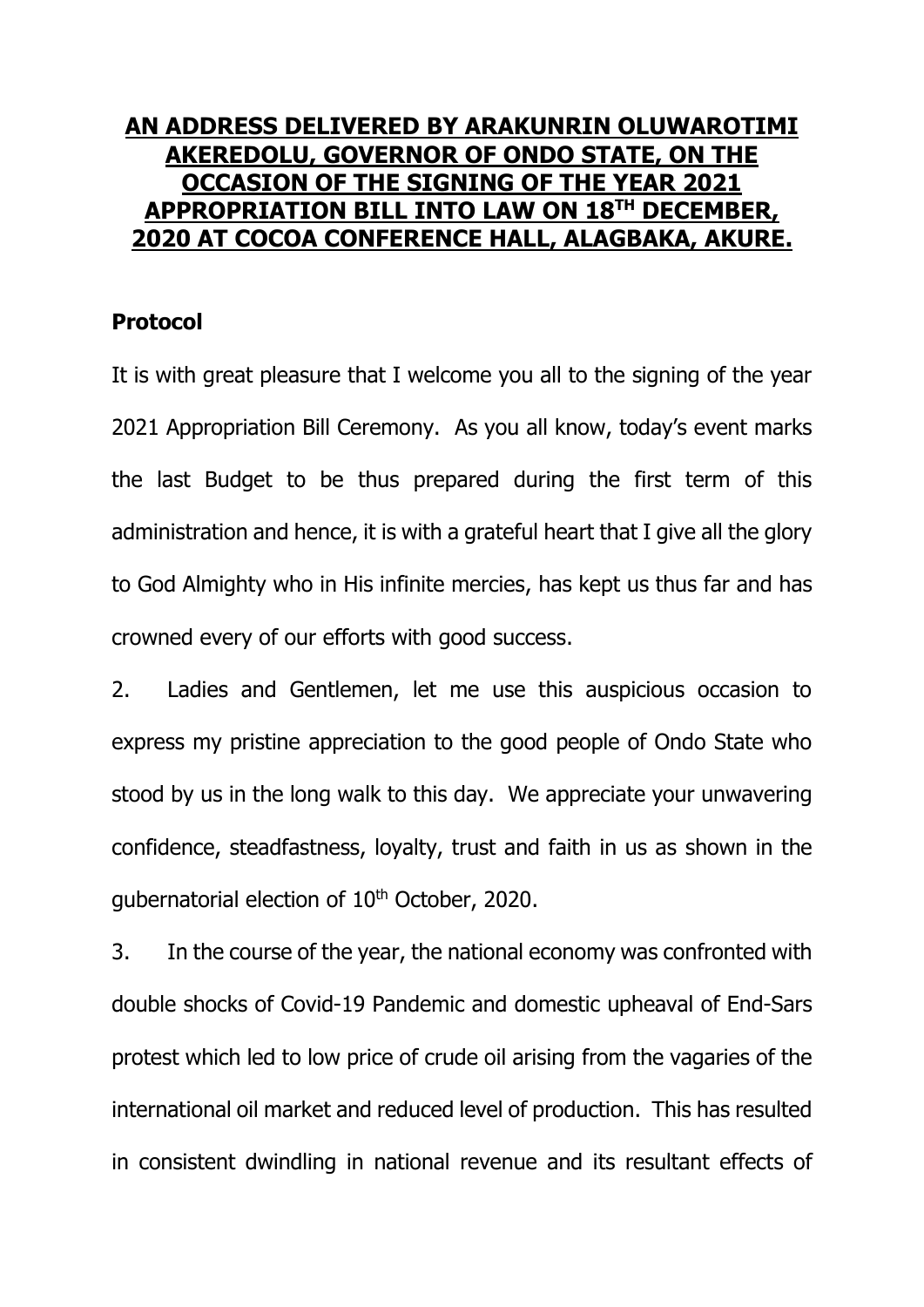## **AN ADDRESS DELIVERED BY ARAKUNRIN OLUWAROTIMI AKEREDOLU, GOVERNOR OF ONDO STATE, ON THE OCCASION OF THE SIGNING OF THE YEAR 2021 APPROPRIATION BILL INTO LAW ON 18TH DECEMBER, 2020 AT COCOA CONFERENCE HALL, ALAGBAKA, AKURE.**

## **Protocol**

It is with great pleasure that I welcome you all to the signing of the year 2021 Appropriation Bill Ceremony. As you all know, today's event marks the last Budget to be thus prepared during the first term of this administration and hence, it is with a grateful heart that I give all the glory to God Almighty who in His infinite mercies, has kept us thus far and has crowned every of our efforts with good success.

2. Ladies and Gentlemen, let me use this auspicious occasion to express my pristine appreciation to the good people of Ondo State who stood by us in the long walk to this day. We appreciate your unwavering confidence, steadfastness, loyalty, trust and faith in us as shown in the gubernatorial election of 10<sup>th</sup> October, 2020.

3. In the course of the year, the national economy was confronted with double shocks of Covid-19 Pandemic and domestic upheaval of End-Sars protest which led to low price of crude oil arising from the vagaries of the international oil market and reduced level of production. This has resulted in consistent dwindling in national revenue and its resultant effects of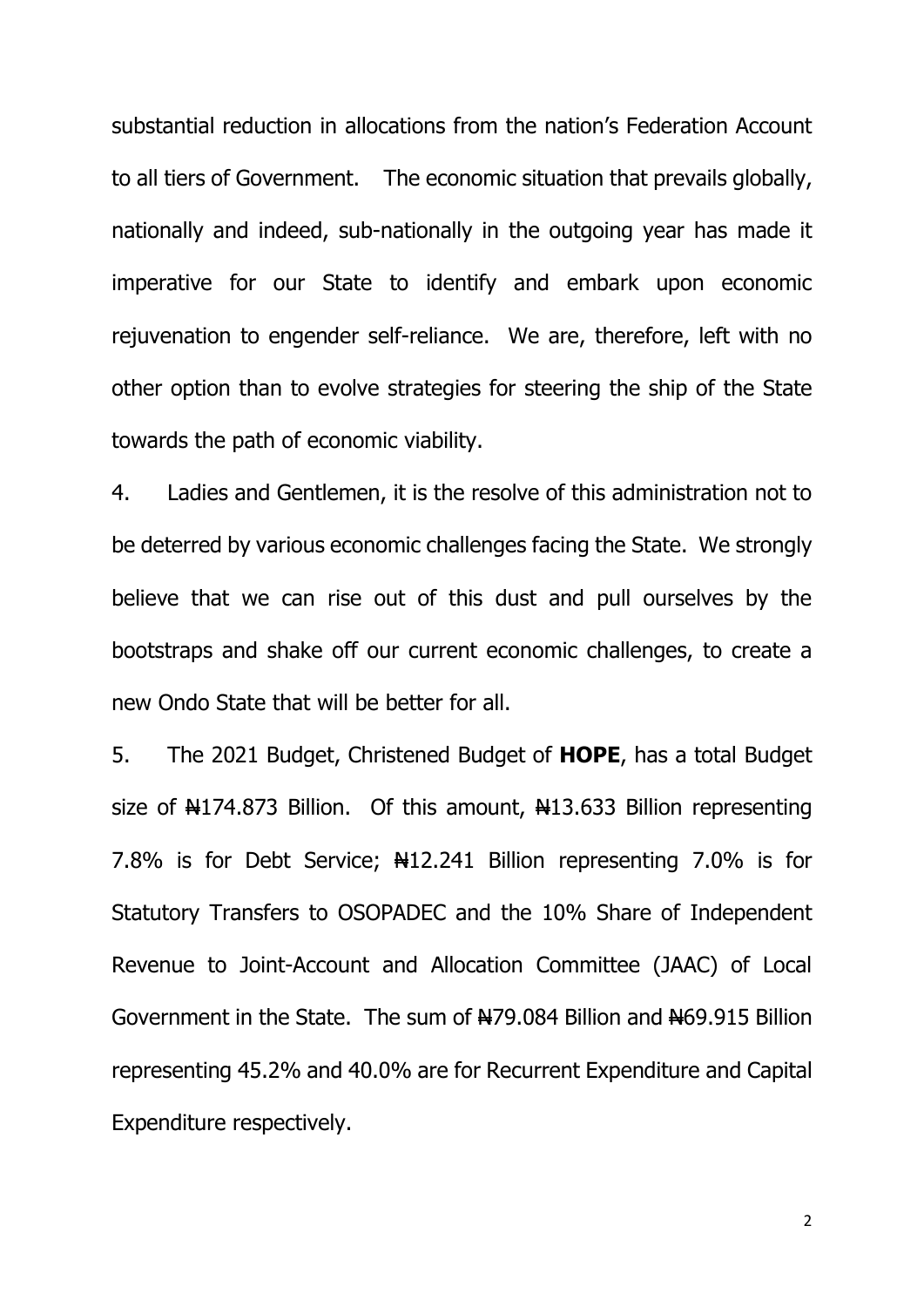substantial reduction in allocations from the nation's Federation Account to all tiers of Government. The economic situation that prevails globally, nationally and indeed, sub-nationally in the outgoing year has made it imperative for our State to identify and embark upon economic rejuvenation to engender self-reliance. We are, therefore, left with no other option than to evolve strategies for steering the ship of the State towards the path of economic viability.

4. Ladies and Gentlemen, it is the resolve of this administration not to be deterred by various economic challenges facing the State. We strongly believe that we can rise out of this dust and pull ourselves by the bootstraps and shake off our current economic challenges, to create a new Ondo State that will be better for all.

5. The 2021 Budget, Christened Budget of **HOPE**, has a total Budget size of  $\frac{1}{2}$  174.873 Billion. Of this amount,  $\frac{1}{2}$  13.633 Billion representing 7.8% is for Debt Service; Netal 2.241 Billion representing 7.0% is for Statutory Transfers to OSOPADEC and the 10% Share of Independent Revenue to Joint-Account and Allocation Committee (JAAC) of Local Government in the State. The sum of  $\frac{479.084}{1}$  Billion and  $\frac{469.915}{1}$  Billion representing 45.2% and 40.0% are for Recurrent Expenditure and Capital Expenditure respectively.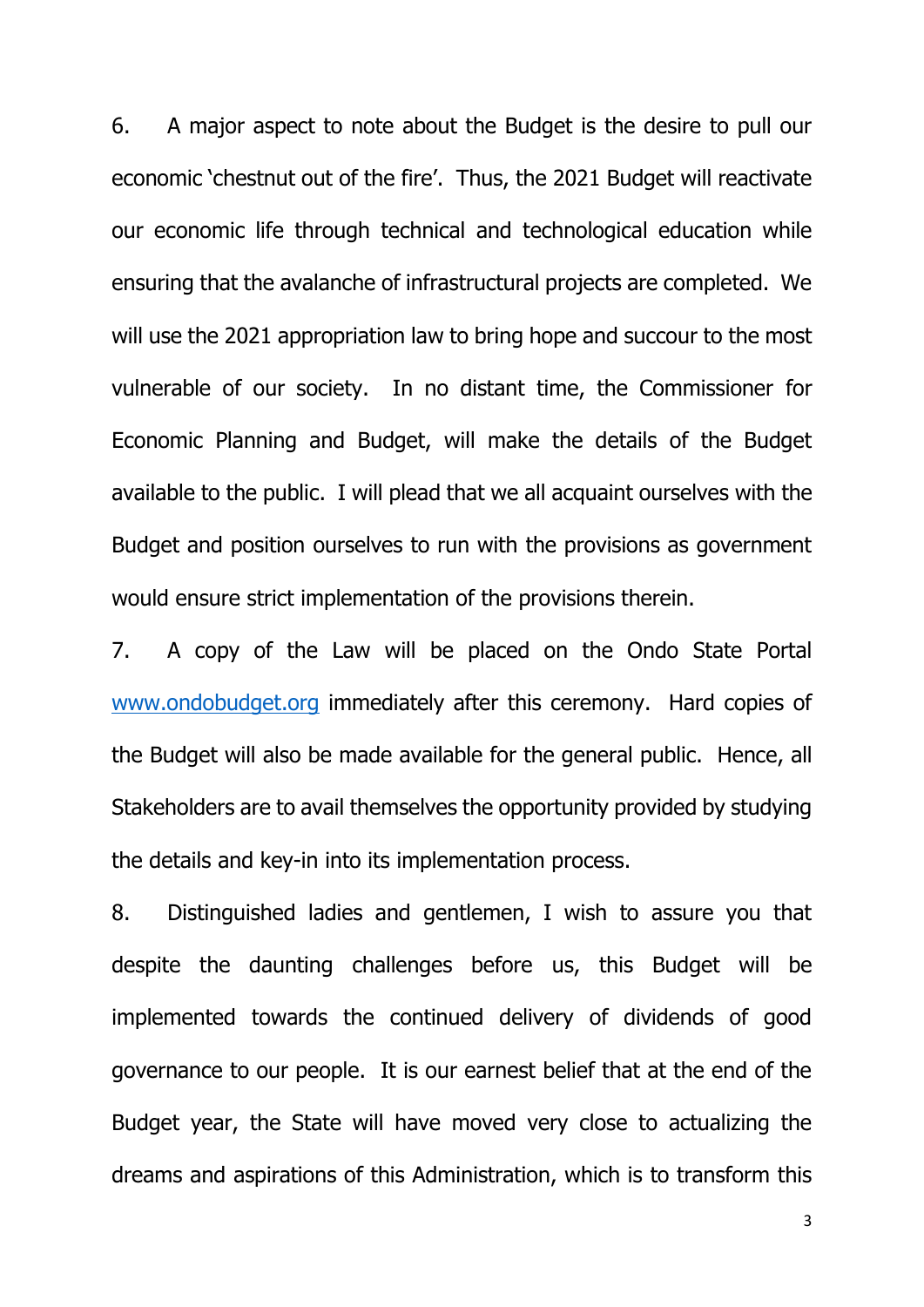6. A major aspect to note about the Budget is the desire to pull our economic 'chestnut out of the fire'. Thus, the 2021 Budget will reactivate our economic life through technical and technological education while ensuring that the avalanche of infrastructural projects are completed. We will use the 2021 appropriation law to bring hope and succour to the most vulnerable of our society. In no distant time, the Commissioner for Economic Planning and Budget, will make the details of the Budget available to the public. I will plead that we all acquaint ourselves with the Budget and position ourselves to run with the provisions as government would ensure strict implementation of the provisions therein.

7. A copy of the Law will be placed on the Ondo State Portal [www.ondobudget.org](http://www.ondobudget.org/) immediately after this ceremony. Hard copies of the Budget will also be made available for the general public. Hence, all Stakeholders are to avail themselves the opportunity provided by studying the details and key-in into its implementation process.

8. Distinguished ladies and gentlemen, I wish to assure you that despite the daunting challenges before us, this Budget will be implemented towards the continued delivery of dividends of good governance to our people. It is our earnest belief that at the end of the Budget year, the State will have moved very close to actualizing the dreams and aspirations of this Administration, which is to transform this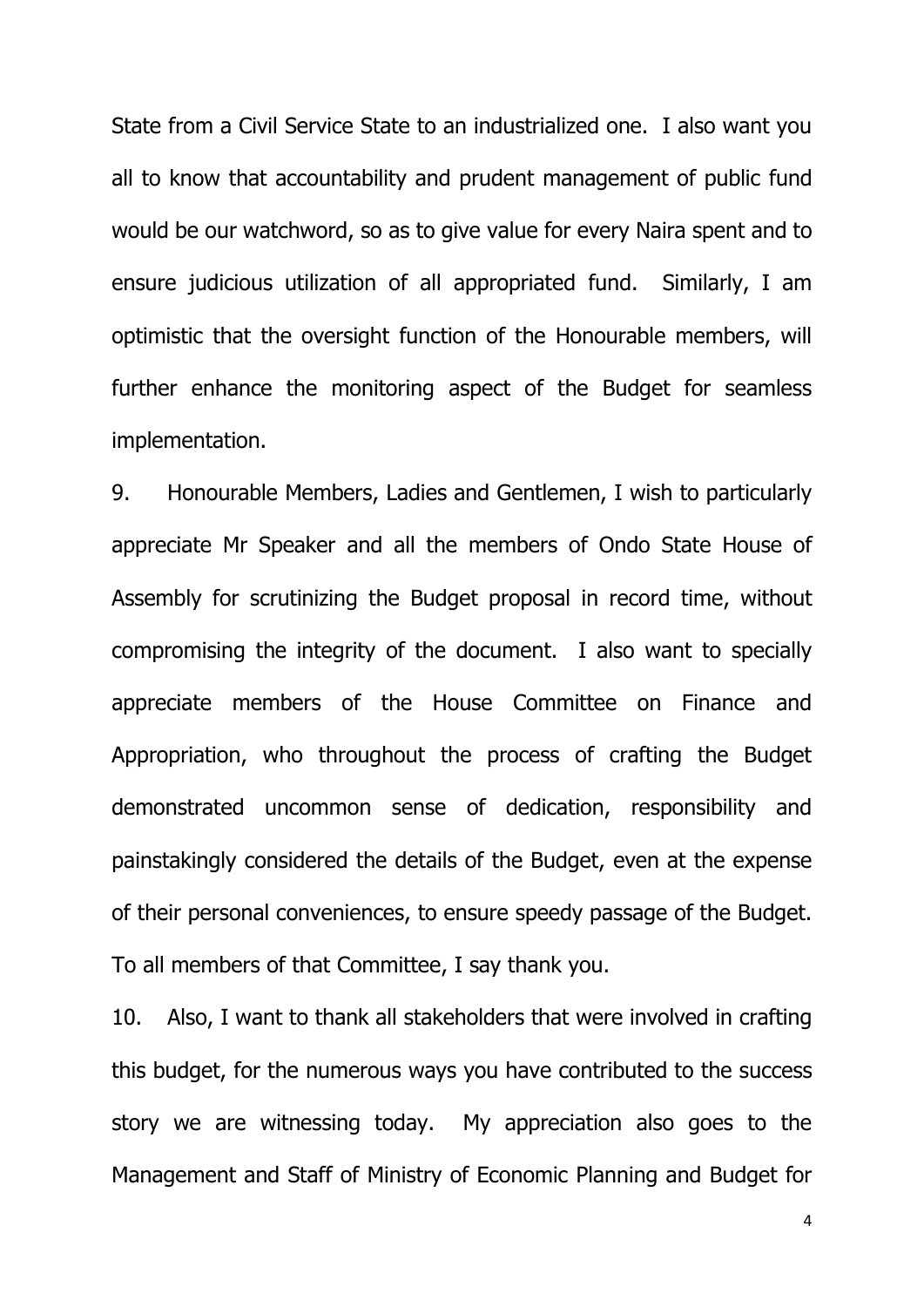State from a Civil Service State to an industrialized one. I also want you all to know that accountability and prudent management of public fund would be our watchword, so as to give value for every Naira spent and to ensure judicious utilization of all appropriated fund. Similarly, I am optimistic that the oversight function of the Honourable members, will further enhance the monitoring aspect of the Budget for seamless implementation.

9. Honourable Members, Ladies and Gentlemen, I wish to particularly appreciate Mr Speaker and all the members of Ondo State House of Assembly for scrutinizing the Budget proposal in record time, without compromising the integrity of the document. I also want to specially appreciate members of the House Committee on Finance and Appropriation, who throughout the process of crafting the Budget demonstrated uncommon sense of dedication, responsibility and painstakingly considered the details of the Budget, even at the expense of their personal conveniences, to ensure speedy passage of the Budget. To all members of that Committee, I say thank you.

10. Also, I want to thank all stakeholders that were involved in crafting this budget, for the numerous ways you have contributed to the success story we are witnessing today. My appreciation also goes to the Management and Staff of Ministry of Economic Planning and Budget for